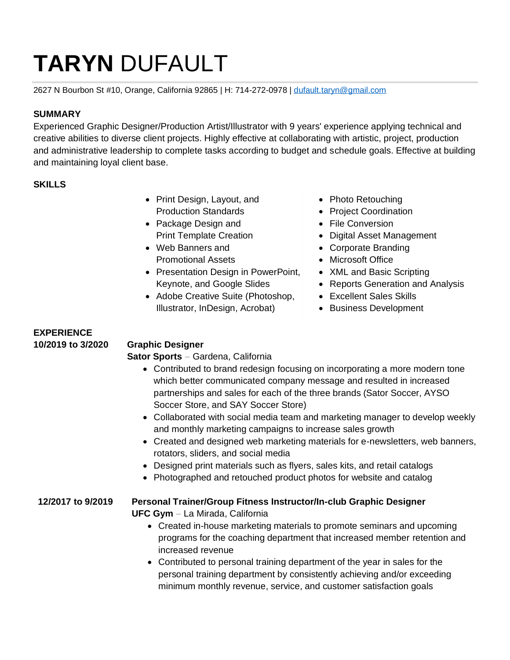# **TARYN** DUFAULT

2627 N Bourbon St #10, Orange, California 92865 | H: 714-272-0978 | [dufault.taryn@gmail.com](mailto:dufault.taryn@gmail.com)

#### **SUMMARY**

Experienced Graphic Designer/Production Artist/Illustrator with 9 years' experience applying technical and creative abilities to diverse client projects. Highly effective at collaborating with artistic, project, production and administrative leadership to complete tasks according to budget and schedule goals. Effective at building and maintaining loyal client base.

#### **SKILLS**

- Print Design, Layout, and Production Standards
- Package Design and Print Template Creation
- Web Banners and Promotional Assets
- Presentation Design in PowerPoint, Keynote, and Google Slides
- Adobe Creative Suite (Photoshop, Illustrator, InDesign, Acrobat)
- Photo Retouching
- Project Coordination
- File Conversion
- Digital Asset Management
- Corporate Branding
- Microsoft Office
- XML and Basic Scripting
- Reports Generation and Analysis
- Excellent Sales Skills
- Business Development

## **EXPERIENCE 10/2019 to 3/2020 Graphic Designer**

## **Sator Sports** - Gardena, California

- Contributed to brand redesign focusing on incorporating a more modern tone which better communicated company message and resulted in increased partnerships and sales for each of the three brands (Sator Soccer, AYSO Soccer Store, and SAY Soccer Store)
- Collaborated with social media team and marketing manager to develop weekly and monthly marketing campaigns to increase sales growth
- Created and designed web marketing materials for e-newsletters, web banners, rotators, sliders, and social media
- Designed print materials such as flyers, sales kits, and retail catalogs
- Photographed and retouched product photos for website and catalog

#### **12/2017 to 9/2019 Personal Trainer/Group Fitness Instructor/In-club Graphic Designer UFC Gym** - La Mirada, California

- Created in-house marketing materials to promote seminars and upcoming programs for the coaching department that increased member retention and increased revenue
- Contributed to personal training department of the year in sales for the personal training department by consistently achieving and/or exceeding minimum monthly revenue, service, and customer satisfaction goals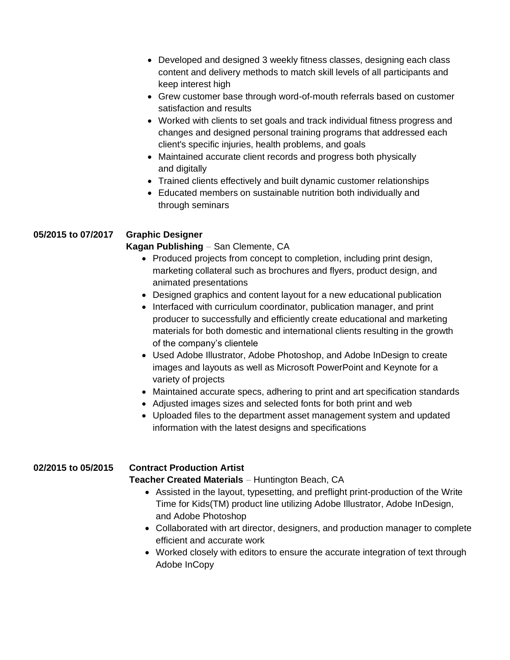- Developed and designed 3 weekly fitness classes, designing each class content and delivery methods to match skill levels of all participants and keep interest high
- Grew customer base through word-of-mouth referrals based on customer satisfaction and results
- Worked with clients to set goals and track individual fitness progress and changes and designed personal training programs that addressed each client's specific injuries, health problems, and goals
- Maintained accurate client records and progress both physically and digitally
- Trained clients effectively and built dynamic customer relationships
- Educated members on sustainable nutrition both individually and through seminars

#### **05/2015 to 07/2017 Graphic Designer**

#### **Kagan Publishing** - San Clemente, CA

- Produced projects from concept to completion, including print design, marketing collateral such as brochures and flyers, product design, and animated presentations
- Designed graphics and content layout for a new educational publication
- Interfaced with curriculum coordinator, publication manager, and print producer to successfully and efficiently create educational and marketing materials for both domestic and international clients resulting in the growth of the company's clientele
- Used Adobe Illustrator, Adobe Photoshop, and Adobe InDesign to create images and layouts as well as Microsoft PowerPoint and Keynote for a variety of projects
- Maintained accurate specs, adhering to print and art specification standards
- Adjusted images sizes and selected fonts for both print and web
- Uploaded files to the department asset management system and updated information with the latest designs and specifications

#### **02/2015 to 05/2015 Contract Production Artist**

**Teacher Created Materials** - Huntington Beach, CA

- Assisted in the layout, typesetting, and preflight print-production of the Write Time for Kids(TM) product line utilizing Adobe Illustrator, Adobe InDesign, and Adobe Photoshop
- Collaborated with art director, designers, and production manager to complete efficient and accurate work
- Worked closely with editors to ensure the accurate integration of text through Adobe InCopy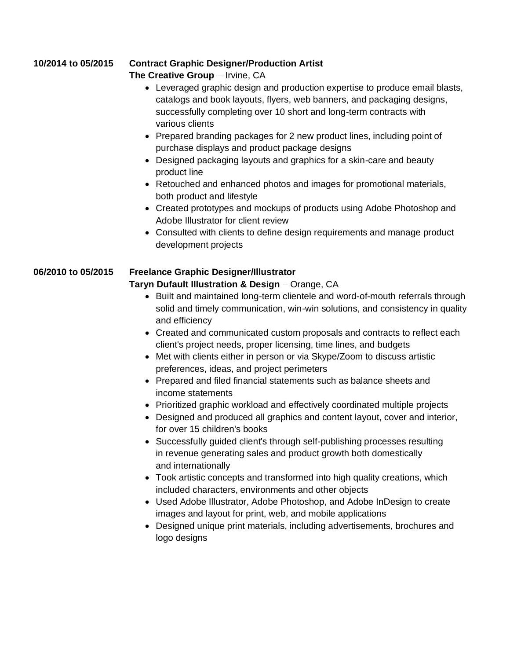#### **10/2014 to 05/2015 Contract Graphic Designer/Production Artist**

#### **The Creative Group** - Irvine, CA

- Leveraged graphic design and production expertise to produce email blasts, catalogs and book layouts, flyers, web banners, and packaging designs, successfully completing over 10 short and long-term contracts with various clients
- Prepared branding packages for 2 new product lines, including point of purchase displays and product package designs
- Designed packaging layouts and graphics for a skin-care and beauty product line
- Retouched and enhanced photos and images for promotional materials, both product and lifestyle
- Created prototypes and mockups of products using Adobe Photoshop and Adobe Illustrator for client review
- Consulted with clients to define design requirements and manage product development projects

# **06/2010 to 05/2015 Freelance Graphic Designer/Illustrator**

#### **Taryn Dufault Illustration & Design** - Orange, CA

- Built and maintained long-term clientele and word-of-mouth referrals through solid and timely communication, win-win solutions, and consistency in quality and efficiency
- Created and communicated custom proposals and contracts to reflect each client's project needs, proper licensing, time lines, and budgets
- Met with clients either in person or via Skype/Zoom to discuss artistic preferences, ideas, and project perimeters
- Prepared and filed financial statements such as balance sheets and income statements
- Prioritized graphic workload and effectively coordinated multiple projects
- Designed and produced all graphics and content layout, cover and interior, for over 15 children's books
- Successfully guided client's through self-publishing processes resulting in revenue generating sales and product growth both domestically and internationally
- Took artistic concepts and transformed into high quality creations, which included characters, environments and other objects
- Used Adobe Illustrator, Adobe Photoshop, and Adobe InDesign to create images and layout for print, web, and mobile applications
- Designed unique print materials, including advertisements, brochures and logo designs